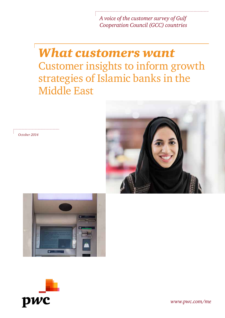*A voice of the customer survey of Gulf Cooperation Council (GCC) countries*

## *What customers want* Customer insights to inform growth strategies of Islamic banks in the Middle East







*October 2014*

*www.pwc.com/me*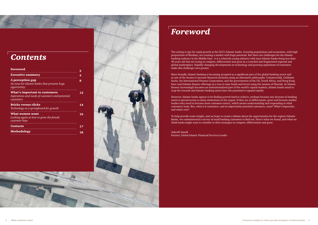## *Foreword*

The setting is ripe for rapid growth at the GCC's Islamic banks. Growing populations and economies, with high proportions of Muslims, are creating a market with huge potential. But there are challenges for the Islamic banking industry in the Middle East; it is a relatively young industry with most Islamic banks being less than 40 years old that are trying to compete, differentiate and grow in a crowded and fragmented regional and global marketplace. Rapidly changing developments in technology and growing aspirations of customers make this challenge even greater.

More broadly, Islamic banking is becoming accepted as a significant part of the global banking sector and as one of the means to increase financial inclusion using an alternative philosophy. Commercially, Goldman Sachs, the International Finance Corporation, and the governments of the UK, South Africa, and Hong Kong have used Islamic finance offerings as a way to raise funds and invest using the tenants of Shariah. As Islamic finance increasingly becomes an institutionalized part of the world's capital markets, Islamic banks stand to reap the rewards and Islamic banking assets have the potential to expand rapidly.

However, Islamic banks appear to be finding growth hard to achieve, perhaps because any increase in banking assets is spread across so many institutions in the region. If they are to differentiate, grow and become market leaders they need to become more customer-centric, which means understanding and responding to what customers want. But, what is it customers, and as importantly potential customers, want? What's important, and what's not?

To help provide some insight, and we hope to create a debate about the opportunities for the region's Islamic Banks, we commissioned a survey of retail banking customers to find out. Here's what we found, and what we think banks might want to consider in their strategies to compete, differentiate and grow.

Ashruff Jamall Partner, Global Islamic Financial Services Leader

## *Contents*

| Foreword                                                                                              | 3  |
|-------------------------------------------------------------------------------------------------------|----|
| <b>Executive summary</b>                                                                              | 4  |
| A perception gap<br>An issue for Islamic banks that presents huge<br>opportunity                      | 8  |
| <b>What's important to customers</b><br>Aspirations and needs of customers and potential<br>customers | 12 |
| <b>Bricks versus clicks</b><br>Technology as a springboard for growth                                 | 14 |
| What women want<br>Looking again at how to grow the female<br>customer base                           | 16 |
| <b>Contacts</b>                                                                                       | 17 |
| <b>Methodology</b>                                                                                    | 18 |

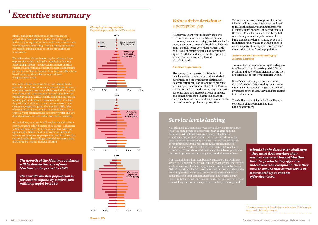## *Executive summary*

Islamic banks find themselves at crossroads; the growth they have achieved on the back of religious faith is beginning to slow down and their customers are becoming more discerning. There is huge potential for the region's Islamic Banks but there are challenges to overcome.

We believe that Islamic banks may be missing a huge opportunity within the Muslim population due to a perception problem – a perception amongst existing customers, and potential customers, that Islamic banks are not true to Shariah values. As an intrinsically valuesbased industry, Islamic banks must address this perception issue.

Service levels are found wanting, and Islamic banks generally rated lower than conventional banks in terms of service provision such as well- located ATMs, a good branch network, a good reputation and good internet banking products. Unless Islamic banks can narrow the services gap, and create a 'customer-centric' mindset, they will find it difficult to continue to win over new customers, especially given the practical difficulties of switching bank accounts in the Middle East. This is especially important as more customers prefer and use digital platforms such as online and mobile banking.

As the industry matures it will need to transition from being attractive solely because of its values - adherence to Shariah principles - to being competitive with and against other Islamic banks and conventional banks from a customer service perspective. But, for those that can get it right, there is huge potential to create a truly differentiated Islamic Banking offering.

> *The growth of the Muslim population will be double the rate of non-Muslims in the period to 2025*

*The world's Muslim population is forecast to expand by a third (600 million people) by 2030*

### *Values drive decisions:* a perception gap

Islamic values are what primarily drive the decisions and behaviours of Islamic Finance customers, however worryingly for Islamic banks many customers expressed skepticism of Islamic banks actually living up to these values. Only half (52%) of existing Islamic bank customers agreed\* with the statement that their provider was 'an Islamic bank and followed Islamic Shariah'.

### *A missed opportunity*

The survey data suggests that Islamic banks may be missing a huge opportunity with their customers, and the Muslim population, due to a perception gap. Banks looking to grow by attracting a greater market share of the Muslim population need to build trust amongst their core customer base and more clearly communicate and demonstrate their Islamic values. As an intrinsically values based industry, Islamic banks must address this problem of perception.

To best capitalise on the opportunity in the Islamic banking sector, institutions will need to realise that merely branding themselves as Islamic is not enough – they can't just talk the talk, Islamic banks need to walk the talk. Articulating more clearly the values of the bank, and clearly demonstrating action and fulfilment of their values may help banks to close this perception gap and attract greater market share of the Muslim population.

### *Awareness and understanding of Islamic banking*

Just over half of respondents say that they are familiar with Islamic banking, with 56% of Muslims and 40% of non-Muslims saying they are extremely or somewhat familiar with it.

Non-Muslims say they do not use Islamic financial products because they do not know enough about them, with 64% citing lack of awareness as the reason they don't use Islamic financial services.

The challenge that Islamic banks will face is converting that awareness into new banking customers.

Non-Islamic bank customers were more likely to strongly agree with "My bank provides fast service" than Islamic banking customers. While Muslims more broadly value Shariah compliance,they ranked similar areas to non-Muslims as the most important reasons why they use their current bank such as reputation and brand recognition, the branch network, and location of ATMs. This changes for existing Islamic bank customers, 31% of whom said that being Shariah compliant was the most important factor in why they use their current bank.

Our research finds that retail banking customers are willing to switch to Islamic banks, but will only do so if they feel that service levels at least match what they get from conventional banks – a fifth of non-Islamic banking customers tell us they would consider switching to Islamic banks if service levels of Islamic banking banks matched their conventional peers. This creates a huge opportunity for the region's Islamic banks, suggesting that a focus on enriching the customer experience can help to drive growth.

*Islamic banks face a twin challenge - they must first convince their natural customer base of Muslims that the products they offer are indeed Shariah compliant, then they need to ensure that service levels at least match up to that on offer elsewhere.*

### *Service levels lacking*

\* Customers scoring 8, 9 and 10 on a scale where 10 is 'strongly agree' and 1 is 'totally disagree'

#### *Changing demographics* Population pyramids for GCC countries

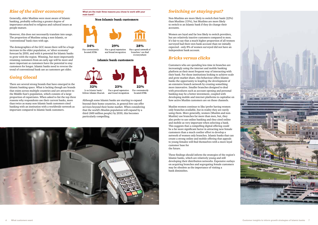### *Rise of the silver economy*

Generally, older Muslims were most aware of Islamic banking, probably reflecting a greater degree of importance attached to religious and cultural issues as people mature.

However, this does not necessarily translate into usage. The proportion of Muslims using a non-Islamic, or 'conventional' bank rises with age.

The demographics of the GCC mean there will be a huge increase in the elder population, or 'silver economy' forecast by 2050, and with it potential for Islamic banks to grow with the region. Winning, but more importantly retaining customers from an early age will be more and more important as customers have the potential to stay customers for longer. Islamic banks need to reverse the trend of conventional bank use as customers get older.

> located ATMs and brand recognition Although some Islamic banks are starting to expand

### *Going Glocal*

There are several strong brands that have emerged in the Islamic banking space. What is lacking though are brands that exists across multiple countries and are attractive to the Middle East's population, which consists of a large proportion of expatriates. When asked to list the top three reasons why respondents use their current banks, more than twice as many non-Islamic bank customers cited banking with an institution with a worldwide network as important compared to Islamic bank customers.

**What are the main three reasons you chose to work with your main bank?**

### Non-Islamic bank customers



### **Islamic bank customers**



follows Islamic Shariah

beyond their home countries, in general few can offer services beyond their home market. When considering that the world's Muslim population will expand by a third (600 million people) by 2030, this becomes particularly compelling.



### *Switching or staying-put?*

Non-Muslims are more likely to switch their bank (22%) than Muslims (15%), but Muslims are more likely to switch to an Islamic bank if they do change their accounts.

Women are loyal and far less likely to switch providers, but are relatively inactive customers compared to men. It's fair to say that a much higher proportion of all women surveyed had their own bank account than we initially expected - only 8% of women surveyed did not have an independent bank account.

### *Bricks versus clicks*

Customers who are spending less time in branches are increasingly using the internet and mobile banking platform as their most frequent way of interacting with their bank. For those institutions looking to achieve scale and grow market share, this behaviour offers Islamic banks the opportunity to leapfrog the development of an extensive branch network by creating something more innovative. Smaller branches designed to deal with procedures such as account opening and personal banking may be a better investment, coupled with developing mobile and internet platforms to capitalise on how active Muslim customers are on those channels.

Muslim women continue to like/prefer having women only branches available, but in reality they are rarely using them. More generally, women (Muslim and non-Muslim) use branches far more than men, but, they also prefer to use online banking and they cited online and mobile as very important when selecting a bank. This suggests that a compelling digital offering could be a far more significant factor in attracting new female customers than a much costlier effort to develop a network of women only branches. Islamic banks that can create a strong online and mobile offering that appeals to young females will find themselves with a more loyal customer base for the future.

These findings should inform the strategies of the region's Islamic banks, which are relatively young and still developing their distribution networks. Expensive outlays on acquiring branches and segregating female customers may be obsolete as the importance of visiting a bank diminishes.

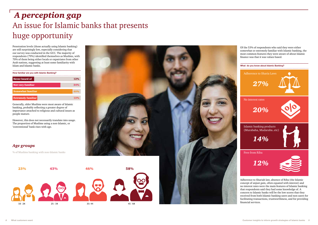# *A perception gap* An issue for Islamic banks that presents huge opportunity

Penetration levels (those actually using Islamic banking) are still surprisingly low, especially considering that our survey was conducted in the GCC. The majority of respondents (79%) identified themselves as Muslims, with 70% of them being either locals or expatriates from other Arab nations, suggesting at least some familiarity with Islam and Islamic banks.

| How familiar are you with Islamic Banking? |  |  |  |
|--------------------------------------------|--|--|--|

| Never heard of            | 12% |
|---------------------------|-----|
| <b>Not very familiar</b>  | 34% |
| <b>Somewhat familiar</b>  | 40% |
| <b>Extremely familiar</b> | 13% |

Generally, older Muslims were most aware of Islamic banking, probably reflecting a greater degree of importance attached to religious and cultural issues as people mature.

However, this does not necessarily translate into usage. The proportion of Muslims using a non-Islamic, or 'conventional' bank rises with age.



Of the 53% of respondents who said they were either somewhat or extremely familiar with Islamic banking, the most common features they were aware of about Islamic finance was that it was values based.

Adherence to Shariah law, absence of Riba (the Islamic concept of unjust gain, often equated with interest) and no interest rates were the main features of Islamic banking that respondents said they had some knowledge of. A concern to Islamic banks will be the low scores that they received from both Islamic banking users and non-users for facilitating transactions, trustworthiness, and for providing financial services.





% of Muslims banking with non-Islamic banks

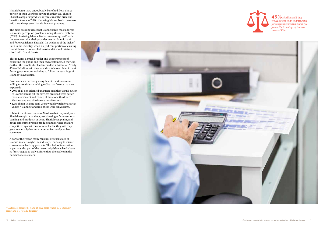Islamic banks have undoubtedly benefited from a large portion of their user base saying that they will choose Shariah complaint products regardless of the price and benefits. A total of 55% of existing Islamic bank customers said they always seek Islamic financial products.

The most pressing issue that Islamic banks must address is a values perception problem among Muslims. Only half (52%) of existing Islamic Bank customers agreed\* with the statement that their provider was 'an Islamic bank and followed Islamic Shariah'. It's evidence of the lack of faith in the industry, when a significant portion of existing Islamic bank customers lack trust and it should strike a chord with Islamic banks.

This requires a much broader and deeper process of educating the public and their own customers. If they can do that, the benefits for banks could be substantial. Nearly 45% of Muslims said they would switch to an Islamic bank for religious reasons including to follow the teachings of Islam or to avoid Riba.

Customers not currently using Islamic banks are more willing to consider switching to Shariah finance than we expected:

- 20% of all non-Islamic bank users said they would switch to Islamic banking if the services provided were better, more convenient and easier, of these one third were Muslims and two thirds were non-Muslims.
- 12% of non-Islamic bank users would switch for Shariah values / Islamic standards, these were all Muslims.

If Islamic banks can reassure Muslims that they really are Shariah complaint and not just 'dressing up' conventional banking and products as being Shariah complaint, and at the same time provide products and services that are competitive against conventional banks, they will reap great rewards by having a larger universe of possible customers.

A part of the reason many Muslims are suspicious of Islamic finance maybe the industry's tendency to mirror conventional banking products. This lack of innovation is perhaps also part of the reason why Islamic banks have so far struggled to truly differentiate themselves in the mindset of consumers.



\* Customers scoring 8, 9 and 10 on a scale where 10 is 'strongly agree' and 1 is 'totally disagree'



*45% Muslims said they would switch to an Islamic bank for religious reasons including to follow the teachings of Islam or to avoid Riba*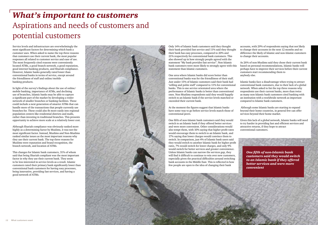# *What's important to customers* Aspirations and needs of customers and potential customers

Service levels and infrastructure are overwhelmingly the most significant factors for determining which bank a customer uses. When asked to name the top three reasons that customers use their current bank, the most popular responses all related to customer service and ease of use. The most frequently cited reasons were conveniently located ATMs, a good branch network, a good reputation, good internet banking products, and Shariah compliance. However, Islamic banks generally rated lower than conventional banks in terms of service, except around the friendliness of staff and online/mobile banking products.

In light of the survey's findings about the use of online/ mobile banking, importance of ATMs, and declining use of branches, Islamic banks may be able to capture a significant part of the market by developing a wider network of smaller branches or banking facilities. These could include a next generation of smarter ATMs that can handle more of the transactions that people currently use branches for. These could also fit more easily into regional population centers like residential districts and malls, rather than investing in traditional branches. This presents opportunity to achieve more scale at a relatively lower cost.

Although Shariah compliance was obviously ranked more highly as a determining factor by Muslims, it was not the most significant factor. Instead, Muslims and Non-Muslims ranked similar issues as the most important reasons why they use their current bank. The top three reasons for Muslims were reputation and brand recognition, the branch network, and location of ATMs.

This changes for Islamic bank customers, 31% of whom said that being Shariah compliant was the most important factor in why they use their current bank. They seem to be less interested in service levels as a result. Islamic customers rated their primary bank significantly lower than conventional bank customers for having easy processes, being innovative, providing fast services, and having a good network of ATMs.



Only 14% of Islamic bank customers said they thought their bank provided fast service and 11% said they thought their bank has easy processes, compared to 20% and 21% respectively for conventional bank customers. This also showed up in how strongly people agreed with the statement "My bank provides fast service". Non-Islamic bank customers were more likely to strongly agree with this statement than Islamic customers.

One area where Islamic banks did score better than conventional banks was for the friendliness of their staff. Just under 15% of Islamic customers said their bank had 'willing and polite staff' compared to 11% for conventional banks. This is one service orientated area where the performance of Islamic banks is better than conventional ones. Non-Muslims respondents said they would happily switch to an Islamic bank if the service levels matched or exceeded their current bank.

At the moment the figures suggest that Islamic banks have some way to go before service levels match those of conventional peers.

One fifth of non-Islamic bank customers said they would switch to an Islamic bank if they offered better services and were more convenient. Other considerations would also tempt them, with 10% saying that higher profit rates would encourage them to switch to an Islamic bank, and 17% saying that lower charges would convince them to switch. In comparison, just 4% of Islamic bank users said they would switch to another Islamic bank for higher profit rates, 7% would switch for lower charges, and only 9% would switch for better services and greater convenience. Unless Islamic banks can narrow the services gap, they will find it difficult to continue to win over new customers, especially given the practical difficulties around switching bank accounts in the Middle East. This is reflected in how few people are open to the idea of changing their bank

accounts, with 29% of respondents saying that not likely to change their accounts in the next 12 months and no difference the likely of Islamic and non-Islamic customers to change their accounts.

As 26% of non-Muslims said they chose their current bank based on personal recommendations, Islamic banks will perhaps have to improve their services before their current customers start recommending them to anybody else.

Islamic banks face a disadvantage when trying to attract conventional bank customers, due to their lack of a global network. When asked to list the top three reasons why respondents use their current banks, more than twice as many non-Islamic bank customers cited banking with an institution with a worldwide network as important compared to Islamic bank customers.

 Although some Islamic banks are starting to expand beyond their home countries, in general few can offer services beyond their home market.

Given this lack of a global network, Islamic banks will need to try harder in providing fast and efficient services and attractive returns, if they hope to attract conventional customers.

*One fifth of non-Islamic bank customers said they would switch to an Islamic bank if they offered better services and were more convenient*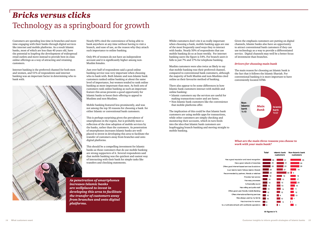# *Bricks versus clicks* Technology as a springboard for growth

Customers are spending less time in branches and more time engaging with their banks through digital services like internet and mobile platforms. As a result Islamic banks, most of which are less than 40 years old, have the potential to leapfrog the development of widespread retail outlets and move instead to provide best-in-class online offerings as a way of attracting and retaining customers.

Internet banking is the preferred channel for both men and women, and 51% of respondents said internet banking was an important factor in determining who to bank with.



Nearly 60% cited the convenience of being able to bank anywhere at any time without having to visit a branch, and ease of use, as the reason why they attach such importance to online banking.

Only 8% of women do not have an independent account and it is significantly higher among non-Muslim females.

Just over half of respondents said a good online banking service was very important when choosing who to bank with. Both Islamic and non-Islamic bank customers ranked online banking at about the same level of importance, but women tended to rank online banking as more important than men. As both sets of customers rank online banking as such an important feature this areas presents a good opportunity for Islamic banks to boost their offering to appeal to Muslims and non-Muslims.

Mobile banking featured less prominently, and was not among the top 10 reasons for choosing a bank for either Islamic or conventional bank customers.

This is perhaps surprising given the prevalence of smartphones in the region, but is probably more a reflection of the slow adoption of mobile services by the banks, rather than the customers. As penetration of smartphones increases Islamic banks are wellplaced to invest in developing this area to facilitate the transfer of customers away from branches and onto digital platforms.

This should be a compelling investment for Islamic banks as those customers that do use mobile banking are strong supporters of it. Several respondents said that mobile banking was the quickest and easiest way of interacting with their bank for simple tasks like transfers and checking statements.

Whilst customers don't cite it as really important when choosing a bank, mobile banking apps are one of the most frequently used ways they to interact with banks. Nearly 50% of respondents that use mobile banking do so at least weekly. For internet banking users the figure is 54%. For branch users it falls to just 7% and 17% for telephone banking.

Muslim customers were also twice as likely to say

that mobile banking was their preferred channel, compared to conventional bank customers, although the majority of both Muslim and non-Muslims cited online as their favourite method of banking.

There also appear to be some differences in how Islamic bank customers interact with mobile and online banking:

- Islamic customers say the services are useful for making transactions easier and are faster,
- Non-Islamic bank customers like the convenience that mobile platforms offer.

The implication of this could be that Islamic bank customers are using mobile apps for transactions, while other customers are simply checking and monitoring their accounts, which in turn feeds into the idea that Islamic bank customers are leapfrogging branch-banking and moving straight to mobile banking.

Has a good reputation and brand recognition Has a good network of branches Is an Islamic bank/ follows Islamic Shariah Provides fast service Has easy processes Is financially sound Has willing and polite staff Offers good user-friendly mobile Bankin Offers International Banking services Was always used by my family Has branches for wome

Offers good internet-based services & solutions Recommended by partners, friends or relatives Is a multinational bank with worldwide operations

Given the emphasis customers are putting on digital channels, Islamic banks also have an opportunity to attract conventional bank customers if they can use technology as a way to provide a differentiated service. Digital channels may well be a better focus of investment than branches.

#### *Drivers for choosing main bank*

The main reason for choosing an Islamic bank is the fact that it follows the Islamic Shariah. For conventional banking it is more important to have conveniently located ATMs



### *What are the main three reasons you choose to work with your main bank?*





*As penetration of smartphones increases Islamic banks are wellplaced to invest in developing this area to facilitate the transfer of customers away from branches and onto digital platforms.*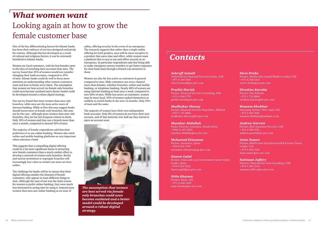# *What women want* Looking again at how to grow the female customer base

One of the key differentiating factors for Islamic banks has been their embrace of services designed exclusively for women. Although this has developed as a result of cultural and religious factors, it can be extremely beneficial to Islamic banks.

Women are loyal customers, with far less females open to the idea of switching their accounts than men. The survey found that 35% of women would not consider changing their bank accounts, compared to 25% of men. Islamic banks could do well to focus more attention on understanding what women customers want and how to better serve them. The assumption that women are best served via female only branches could soon become outdated and a better model could be developed around a robust digital strategy.

Our survey found that more women than men visit branches, while men are the most active users of internet banking. While at first this may suggest banks should invest more in female only branches, this may not be the case - although more women than men visit branches, they are far less frequent visitors to them. Only 10% of women said they use a branch more than once a month, compared to around 30% of men.

The majority of female respondents said that their preference is to use online banking. Women also rated online and mobile banking platforms as very important when selection a bank.

This suggests that a compelling digital offering could be a far more significant factor in attracting new female customers than a much costlier effort to develop a network of women only branches. Bricks and mortar investment to segregate branches will increasingly lose value as women use more services online.

The challenge for banks will be to ensure that their digital offering satisfies the demand of female customers, who appear to want different things to men. Although the ease of use was the main reason for women to prefer online banking, they were much less interested in saving time by using it. Instead more women than men saw online banking as an issue of

safety, offering security in the event of an emergency. The research suggests that rather than a single online offering for both genders, men will be more receptive to a product that saves time and effort, while women want a platform that is easy to use and offers security in an emergency. In particular respondents said that being able to make emergency money transfers or get faster responses for their bank than through a branch was attractive to them.

Women are also far less active as customers in general compared to men. Male customers use every channel more than females, whether branches, online and mobile banking, or telephone banking. Nearly 40% of women are using internet banking at least once a week, compared to over 60% of men. While less active as customers, women may be more loyal. 55% of women ranked themselves as unlikely to switch banks in the next 12 months. Only 35% of men said the same.

The majority of women have their own independent bank accounts. Only 8% of women do not have their own account, and of that minority over half say they intend to open an account soon.

# *Contacts*

### *Ashruff Jamall*

Global Islamic Financial Services Leader, UAE +971 4 304 3105 ashruff.jamall@ae.pwc.com

### *Prathit Harish*

Partner, Financial Services Consulting, UAE +971 4 304 3776 prathit.harish@ae.pwc.com

#### *Madhukar Shenoy*

Partner, Financial Services Regulation, Bahrain +973 1 711 8880 madhukar.shenoy@bh.pwc.com

### *Mutahar Abdallah*

Senior Director, Assurance, Saudi Arabia +966 11 465 1002 mutahar.abdallah@sa.pwc.com

### *Mohamed Elmoataz*

Partner, Assurance, Qatar +974 4 419 2720 mohamed.elmoataz@qa.pwc.com

### *Hazem Galal*

Partner, Cities and Local Government Sector Global Leader, Qatar +974 4 419 2852 hazem.galal@qa.pwc.com

### *Nitin Khanna*

Partner, Deals, UAE +971 4 304 3200 nitin.khanna@ae.pwc.com

### *Steve Drake*

Partner, Middle East Capital Markets Leader, UAE +971 4 304 3421 steven.drake@ae.pwc.com

### *Ebrahim Karolia*

Partner, Tax, Bahrain +973 1 711 8884 ebrahim.karolia@bh.pwc.com

#### *Waseem Khokhar*

Managing Partner, PwC Legal, UAE +971 4 304 3181 waseem.khokhar@pwclegal.co.ae

#### *Andrew Garrett*

Partner, Risk Assurance Services, UAE +971 4 304 3111 andrew.garrett@ae.pwc.com

#### *Amin Nasser*

Partner, Middle East Entrepreneurial & Private Clients Leader, UAE +971 4 304 3120 amin.nasser@ae.pwc.com

### *Salmaan Jaffery*

Director, Financial Services Consulting, UAE +971 4 304 3144 salmaan.jaffery@ae.pwc.com



*The assumption that women are best served via female only branches could soon become outdated and a better model could be developed around a robust digital strategy.*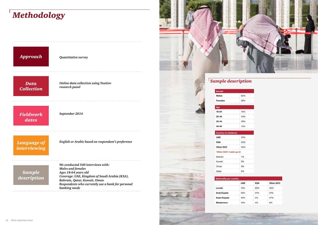# *Methodology*

| Approach                    | Quantitative survey                                                                                                                                                                                                                          |
|-----------------------------|----------------------------------------------------------------------------------------------------------------------------------------------------------------------------------------------------------------------------------------------|
| Data<br><b>Collection</b>   | Online data collection using YouGov<br>research panel                                                                                                                                                                                        |
| <b>Fieldwork</b><br>dates   | September 2014                                                                                                                                                                                                                               |
| Language of<br>interviewing | English or Arabic based on respondent's preference                                                                                                                                                                                           |
| Sample<br>description       | We conducted 540 interviews with:<br><b>Males and females</b><br>Ages 18-64 years old<br>Coverage: UAE, Kingdom of Saudi Arabia (KSA),<br>Bahrain, Qatar, Kuwait, Oman<br>Respondents who currently use a bank for personal<br>banking needs |

| <b>Nationality per country</b> |  |  |
|--------------------------------|--|--|
| Locals                         |  |  |
| <b>Arab Expats</b>             |  |  |
| Asian Expats                   |  |  |
| Westerners                     |  |  |

| 62% |  |
|-----|--|
| 38% |  |
|     |  |
|     |  |
| 15% |  |
| 43% |  |
| 29% |  |
| 13% |  |
|     |  |
|     |  |
| 34% |  |
| 33% |  |
| 33% |  |

| 7% |  |  |  |  |  |
|----|--|--|--|--|--|
|    |  |  |  |  |  |
| 9% |  |  |  |  |  |
| 9% |  |  |  |  |  |
| 8% |  |  |  |  |  |



| Nationality per country |            |            |           |  |  |  |  |
|-------------------------|------------|------------|-----------|--|--|--|--|
|                         | <b>UAE</b> | <b>KSA</b> | Other GCC |  |  |  |  |
| Locals                  | 15%        | 63%        | 35%       |  |  |  |  |
| Arab Expats             | 35%        | 31%        | 31%       |  |  |  |  |
| Asian Expats            | 40%        | 2%         | 27%       |  |  |  |  |
| Westerners              | 10%        | 4%         | 6%        |  |  |  |  |

| 'Other GCC' made up of: |    |  |  |  |  |  |
|-------------------------|----|--|--|--|--|--|
| Bahrain                 | 7% |  |  |  |  |  |
| Kuwait                  | 9% |  |  |  |  |  |
| Oman                    | 9% |  |  |  |  |  |
| Qatar                   | 8% |  |  |  |  |  |